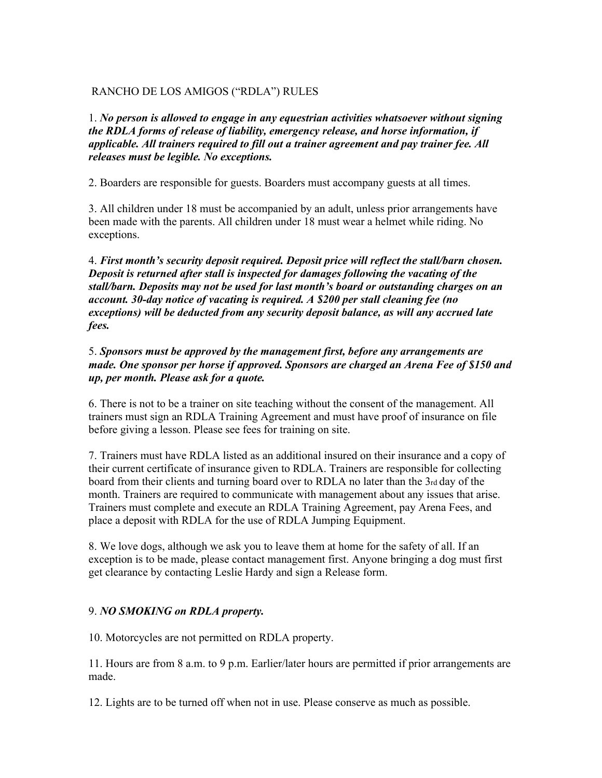# RANCHO DE LOS AMIGOS ("RDLA") RULES

1. *No person is allowed to engage in any equestrian activities whatsoever without signing the RDLA forms of release of liability, emergency release, and horse information, if applicable. All trainers required to fill out a trainer agreement and pay trainer fee. All releases must be legible. No exceptions.* 

2. Boarders are responsible for guests. Boarders must accompany guests at all times.

3. All children under 18 must be accompanied by an adult, unless prior arrangements have been made with the parents. All children under 18 must wear a helmet while riding. No exceptions.

4. *First month's security deposit required. Deposit price will reflect the stall/barn chosen. Deposit is returned after stall is inspected for damages following the vacating of the stall/barn. Deposits may not be used for last month's board or outstanding charges on an account. 30-day notice of vacating is required. A \$200 per stall cleaning fee (no exceptions) will be deducted from any security deposit balance, as will any accrued late fees.* 

5. *Sponsors must be approved by the management first, before any arrangements are made. One sponsor per horse if approved. Sponsors are charged an Arena Fee of \$150 and up, per month. Please ask for a quote.* 

6. There is not to be a trainer on site teaching without the consent of the management. All trainers must sign an RDLA Training Agreement and must have proof of insurance on file before giving a lesson. Please see fees for training on site.

7. Trainers must have RDLA listed as an additional insured on their insurance and a copy of their current certificate of insurance given to RDLA. Trainers are responsible for collecting board from their clients and turning board over to RDLA no later than the 3rd day of the month. Trainers are required to communicate with management about any issues that arise. Trainers must complete and execute an RDLA Training Agreement, pay Arena Fees, and place a deposit with RDLA for the use of RDLA Jumping Equipment.

8. We love dogs, although we ask you to leave them at home for the safety of all. If an exception is to be made, please contact management first. Anyone bringing a dog must first get clearance by contacting Leslie Hardy and sign a Release form.

# 9. *NO SMOKING on RDLA property.*

10. Motorcycles are not permitted on RDLA property.

11. Hours are from 8 a.m. to 9 p.m. Earlier/later hours are permitted if prior arrangements are made.

12. Lights are to be turned off when not in use. Please conserve as much as possible.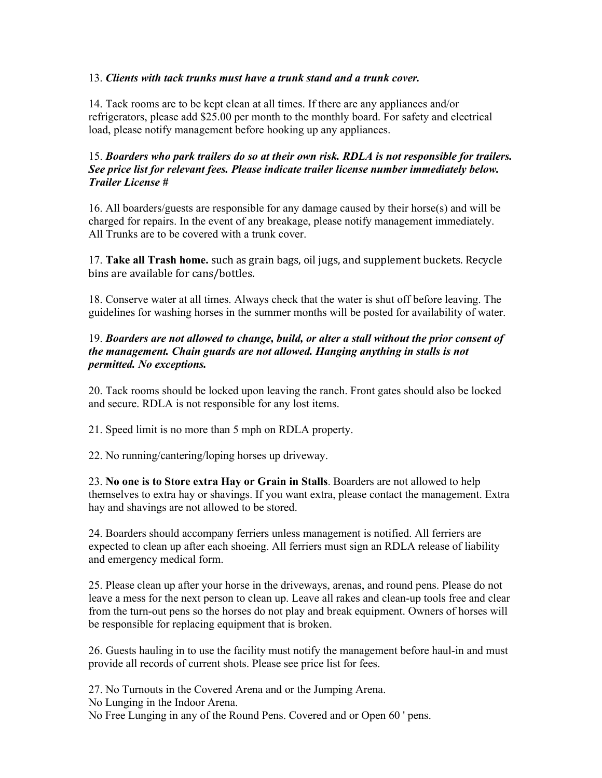#### 13. *Clients with tack trunks must have a trunk stand and a trunk cover.*

14. Tack rooms are to be kept clean at all times. If there are any appliances and/or refrigerators, please add \$25.00 per month to the monthly board. For safety and electrical load, please notify management before hooking up any appliances.

# 15. *Boarders who park trailers do so at their own risk. RDLA is not responsible for trailers. See price list for relevant fees. Please indicate trailer license number immediately below. Trailer License #*

16. All boarders/guests are responsible for any damage caused by their horse(s) and will be charged for repairs. In the event of any breakage, please notify management immediately. All Trunks are to be covered with a trunk cover.

17. **Take all Trash home.** such as grain bags, oil jugs, and supplement buckets. Recycle bins are available for cans/bottles.

18. Conserve water at all times. Always check that the water is shut off before leaving. The guidelines for washing horses in the summer months will be posted for availability of water.

# 19. *Boarders are not allowed to change, build, or alter a stall without the prior consent of the management. Chain guards are not allowed. Hanging anything in stalls is not permitted. No exceptions.*

20. Tack rooms should be locked upon leaving the ranch. Front gates should also be locked and secure. RDLA is not responsible for any lost items.

21. Speed limit is no more than 5 mph on RDLA property.

22. No running/cantering/loping horses up driveway.

23. **No one is to Store extra Hay or Grain in Stalls**. Boarders are not allowed to help themselves to extra hay or shavings. If you want extra, please contact the management. Extra hay and shavings are not allowed to be stored.

24. Boarders should accompany ferriers unless management is notified. All ferriers are expected to clean up after each shoeing. All ferriers must sign an RDLA release of liability and emergency medical form.

25. Please clean up after your horse in the driveways, arenas, and round pens. Please do not leave a mess for the next person to clean up. Leave all rakes and clean-up tools free and clear from the turn-out pens so the horses do not play and break equipment. Owners of horses will be responsible for replacing equipment that is broken.

26. Guests hauling in to use the facility must notify the management before haul-in and must provide all records of current shots. Please see price list for fees.

27. No Turnouts in the Covered Arena and or the Jumping Arena.

No Lunging in the Indoor Arena.

No Free Lunging in any of the Round Pens. Covered and or Open 60 ' pens.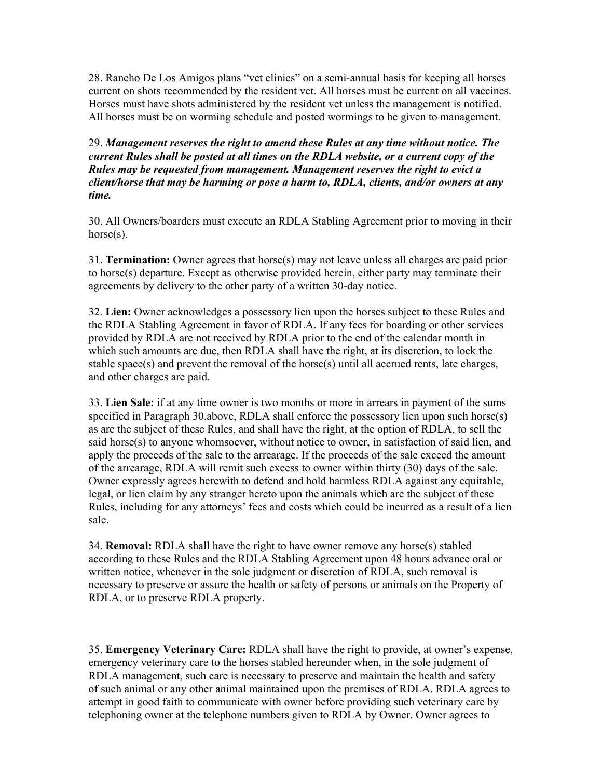28. Rancho De Los Amigos plans "vet clinics" on a semi-annual basis for keeping all horses current on shots recommended by the resident vet. All horses must be current on all vaccines. Horses must have shots administered by the resident vet unless the management is notified. All horses must be on worming schedule and posted wormings to be given to management.

29. *Management reserves the right to amend these Rules at any time without notice. The current Rules shall be posted at all times on the RDLA website, or a current copy of the Rules may be requested from management. Management reserves the right to evict a client/horse that may be harming or pose a harm to, RDLA, clients, and/or owners at any time.*

30. All Owners/boarders must execute an RDLA Stabling Agreement prior to moving in their horse(s).

31. **Termination:** Owner agrees that horse(s) may not leave unless all charges are paid prior to horse(s) departure. Except as otherwise provided herein, either party may terminate their agreements by delivery to the other party of a written 30-day notice.

32. **Lien:** Owner acknowledges a possessory lien upon the horses subject to these Rules and the RDLA Stabling Agreement in favor of RDLA. If any fees for boarding or other services provided by RDLA are not received by RDLA prior to the end of the calendar month in which such amounts are due, then RDLA shall have the right, at its discretion, to lock the stable space(s) and prevent the removal of the horse(s) until all accrued rents, late charges, and other charges are paid.

33. **Lien Sale:** if at any time owner is two months or more in arrears in payment of the sums specified in Paragraph 30.above, RDLA shall enforce the possessory lien upon such horse(s) as are the subject of these Rules, and shall have the right, at the option of RDLA, to sell the said horse(s) to anyone whomsoever, without notice to owner, in satisfaction of said lien, and apply the proceeds of the sale to the arrearage. If the proceeds of the sale exceed the amount of the arrearage, RDLA will remit such excess to owner within thirty (30) days of the sale. Owner expressly agrees herewith to defend and hold harmless RDLA against any equitable, legal, or lien claim by any stranger hereto upon the animals which are the subject of these Rules, including for any attorneys' fees and costs which could be incurred as a result of a lien sale.

34. **Removal:** RDLA shall have the right to have owner remove any horse(s) stabled according to these Rules and the RDLA Stabling Agreement upon 48 hours advance oral or written notice, whenever in the sole judgment or discretion of RDLA, such removal is necessary to preserve or assure the health or safety of persons or animals on the Property of RDLA, or to preserve RDLA property.

35. **Emergency Veterinary Care:** RDLA shall have the right to provide, at owner's expense, emergency veterinary care to the horses stabled hereunder when, in the sole judgment of RDLA management, such care is necessary to preserve and maintain the health and safety of such animal or any other animal maintained upon the premises of RDLA. RDLA agrees to attempt in good faith to communicate with owner before providing such veterinary care by telephoning owner at the telephone numbers given to RDLA by Owner. Owner agrees to